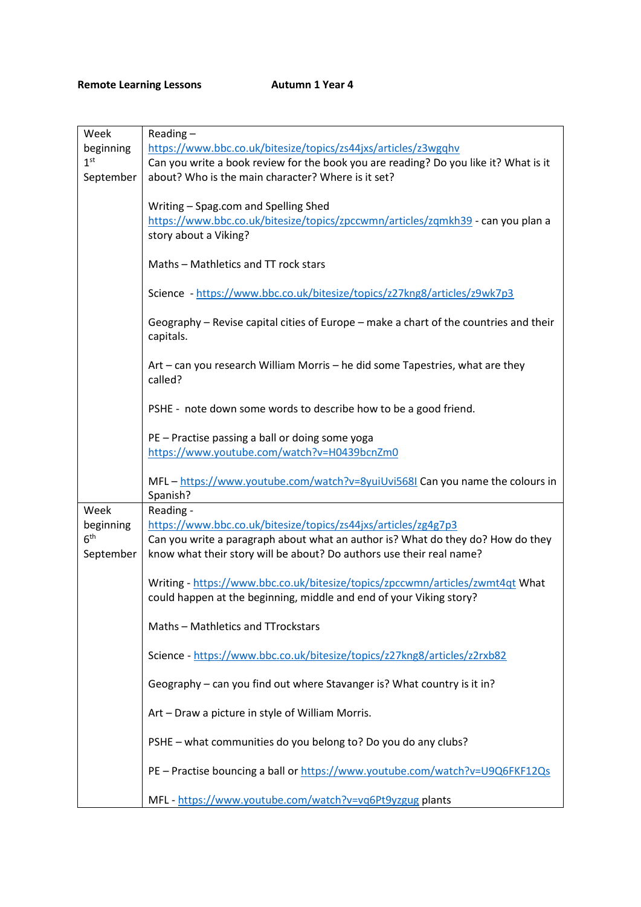## **Remote Learning Lessons Autumn 1 Year 4**

| Week                         | $Reading -$                                                                                                                                             |
|------------------------------|---------------------------------------------------------------------------------------------------------------------------------------------------------|
| beginning                    | https://www.bbc.co.uk/bitesize/topics/zs44jxs/articles/z3wgqhv                                                                                          |
| 1 <sup>st</sup>              | Can you write a book review for the book you are reading? Do you like it? What is it                                                                    |
| September                    | about? Who is the main character? Where is it set?                                                                                                      |
|                              | Writing - Spag.com and Spelling Shed<br>https://www.bbc.co.uk/bitesize/topics/zpccwmn/articles/zgmkh39 - can you plan a<br>story about a Viking?        |
|                              | Maths - Mathletics and TT rock stars                                                                                                                    |
|                              | Science - https://www.bbc.co.uk/bitesize/topics/z27kng8/articles/z9wk7p3                                                                                |
|                              | Geography - Revise capital cities of Europe - make a chart of the countries and their<br>capitals.                                                      |
|                              | Art – can you research William Morris – he did some Tapestries, what are they<br>called?                                                                |
|                              | PSHE - note down some words to describe how to be a good friend.                                                                                        |
|                              | PE - Practise passing a ball or doing some yoga<br>https://www.youtube.com/watch?v=H0439bcnZm0                                                          |
|                              | MFL - https://www.youtube.com/watch?v=8yuiUvi568I Can you name the colours in<br>Spanish?                                                               |
| Week                         | Reading -                                                                                                                                               |
| beginning                    | https://www.bbc.co.uk/bitesize/topics/zs44jxs/articles/zg4g7p3                                                                                          |
| 6 <sup>th</sup><br>September | Can you write a paragraph about what an author is? What do they do? How do they<br>know what their story will be about? Do authors use their real name? |
|                              | Writing - https://www.bbc.co.uk/bitesize/topics/zpccwmn/articles/zwmt4qt What<br>could happen at the beginning, middle and end of your Viking story?    |
|                              | Maths - Mathletics and TTrockstars                                                                                                                      |
|                              | Science - https://www.bbc.co.uk/bitesize/topics/z27kng8/articles/z2rxb82                                                                                |
|                              | Geography - can you find out where Stavanger is? What country is it in?                                                                                 |
|                              | Art - Draw a picture in style of William Morris.                                                                                                        |
|                              | PSHE - what communities do you belong to? Do you do any clubs?                                                                                          |
|                              | PE - Practise bouncing a ball or https://www.youtube.com/watch?v=U9Q6FKF12Qs                                                                            |
|                              | MFL - https://www.youtube.com/watch?v=vq6Pt9yzgug plants                                                                                                |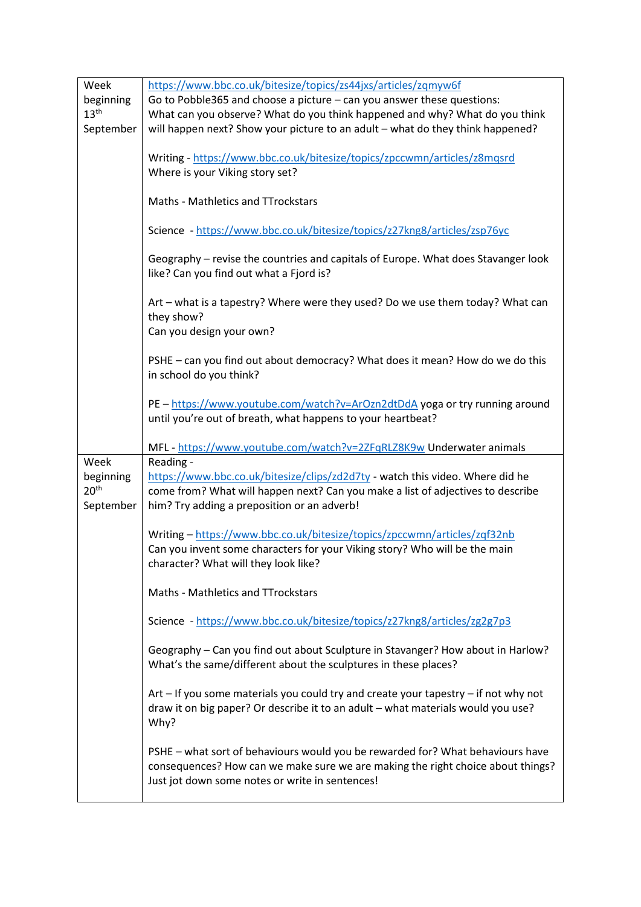| Week             | https://www.bbc.co.uk/bitesize/topics/zs44jxs/articles/zqmyw6f                                                     |
|------------------|--------------------------------------------------------------------------------------------------------------------|
| beginning        | Go to Pobble 365 and choose a picture - can you answer these questions:                                            |
| 13 <sup>th</sup> | What can you observe? What do you think happened and why? What do you think                                        |
| September        | will happen next? Show your picture to an adult - what do they think happened?                                     |
|                  |                                                                                                                    |
|                  | Writing - https://www.bbc.co.uk/bitesize/topics/zpccwmn/articles/z8mqsrd                                           |
|                  | Where is your Viking story set?                                                                                    |
|                  |                                                                                                                    |
|                  | Maths - Mathletics and TTrockstars                                                                                 |
|                  |                                                                                                                    |
|                  | Science - https://www.bbc.co.uk/bitesize/topics/z27kng8/articles/zsp76yc                                           |
|                  |                                                                                                                    |
|                  | Geography - revise the countries and capitals of Europe. What does Stavanger look                                  |
|                  | like? Can you find out what a Fjord is?                                                                            |
|                  |                                                                                                                    |
|                  | Art - what is a tapestry? Where were they used? Do we use them today? What can                                     |
|                  | they show?                                                                                                         |
|                  | Can you design your own?                                                                                           |
|                  |                                                                                                                    |
|                  | PSHE - can you find out about democracy? What does it mean? How do we do this                                      |
|                  | in school do you think?                                                                                            |
|                  |                                                                                                                    |
|                  | PE - https://www.youtube.com/watch?v=ArOzn2dtDdA yoga or try running around                                        |
|                  | until you're out of breath, what happens to your heartbeat?                                                        |
|                  |                                                                                                                    |
|                  | MFL - https://www.youtube.com/watch?v=2ZFqRLZ8K9w Underwater animals                                               |
| Week             | Reading -                                                                                                          |
| beginning        | https://www.bbc.co.uk/bitesize/clips/zd2d7ty - watch this video. Where did he                                      |
| 20 <sup>th</sup> | come from? What will happen next? Can you make a list of adjectives to describe                                    |
| September        | him? Try adding a preposition or an adverb!                                                                        |
|                  |                                                                                                                    |
|                  | Writing - https://www.bbc.co.uk/bitesize/topics/zpccwmn/articles/zqf32nb                                           |
|                  | Can you invent some characters for your Viking story? Who will be the main<br>character? What will they look like? |
|                  |                                                                                                                    |
|                  | Maths - Mathletics and TTrockstars                                                                                 |
|                  |                                                                                                                    |
|                  | Science - https://www.bbc.co.uk/bitesize/topics/z27kng8/articles/zg2g7p3                                           |
|                  |                                                                                                                    |
|                  |                                                                                                                    |
|                  |                                                                                                                    |
|                  | Geography - Can you find out about Sculpture in Stavanger? How about in Harlow?                                    |
|                  | What's the same/different about the sculptures in these places?                                                    |
|                  |                                                                                                                    |
|                  | Art - If you some materials you could try and create your tapestry - if not why not                                |
|                  | draw it on big paper? Or describe it to an adult - what materials would you use?                                   |
|                  | Why?                                                                                                               |
|                  |                                                                                                                    |
|                  | PSHE - what sort of behaviours would you be rewarded for? What behaviours have                                     |
|                  | consequences? How can we make sure we are making the right choice about things?                                    |
|                  | Just jot down some notes or write in sentences!                                                                    |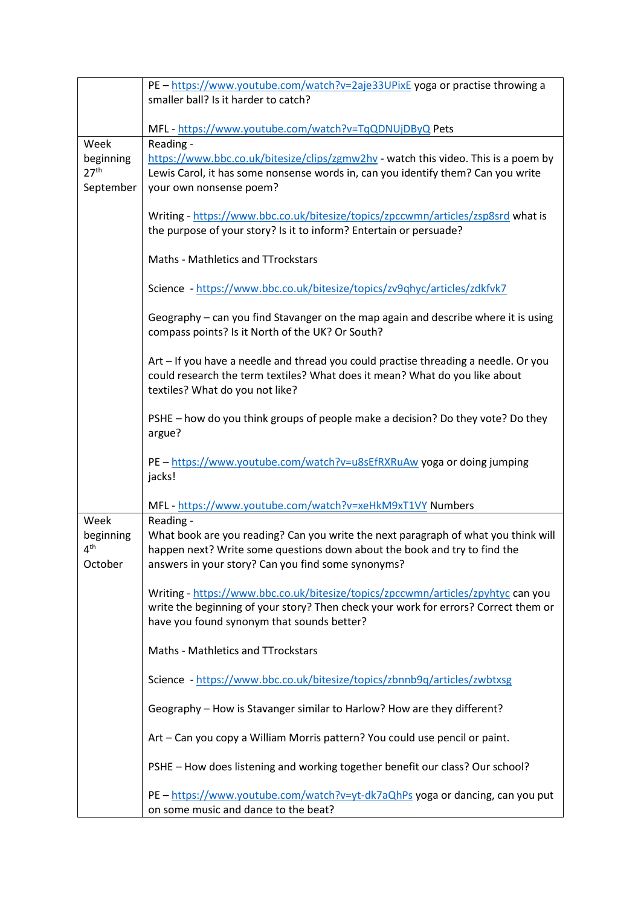|                                                    | PE - https://www.youtube.com/watch?v=2aje33UPixE yoga or practise throwing a<br>smaller ball? Is it harder to catch?                                                                                                               |
|----------------------------------------------------|------------------------------------------------------------------------------------------------------------------------------------------------------------------------------------------------------------------------------------|
|                                                    | MFL - https://www.youtube.com/watch?v=TqQDNUjDByQ Pets                                                                                                                                                                             |
| Week<br>beginning<br>27 <sup>th</sup><br>September | Reading -<br>https://www.bbc.co.uk/bitesize/clips/zgmw2hv - watch this video. This is a poem by<br>Lewis Carol, it has some nonsense words in, can you identify them? Can you write<br>your own nonsense poem?                     |
|                                                    | Writing - https://www.bbc.co.uk/bitesize/topics/zpccwmn/articles/zsp8srd what is<br>the purpose of your story? Is it to inform? Entertain or persuade?                                                                             |
|                                                    | <b>Maths - Mathletics and TTrockstars</b>                                                                                                                                                                                          |
|                                                    | Science - https://www.bbc.co.uk/bitesize/topics/zv9qhyc/articles/zdkfvk7                                                                                                                                                           |
|                                                    | Geography – can you find Stavanger on the map again and describe where it is using<br>compass points? Is it North of the UK? Or South?                                                                                             |
|                                                    | Art - If you have a needle and thread you could practise threading a needle. Or you<br>could research the term textiles? What does it mean? What do you like about<br>textiles? What do you not like?                              |
|                                                    | PSHE - how do you think groups of people make a decision? Do they vote? Do they<br>argue?                                                                                                                                          |
|                                                    | PE - https://www.youtube.com/watch?v=u8sEfRXRuAw yoga or doing jumping<br>jacks!                                                                                                                                                   |
|                                                    | MFL - https://www.youtube.com/watch?v=xeHkM9xT1VY Numbers                                                                                                                                                                          |
| Week<br>beginning<br>4 <sup>th</sup><br>October    | Reading -<br>What book are you reading? Can you write the next paragraph of what you think will<br>happen next? Write some questions down about the book and try to find the<br>answers in your story? Can you find some synonyms? |
|                                                    | Writing - https://www.bbc.co.uk/bitesize/topics/zpccwmn/articles/zpyhtyc can you<br>write the beginning of your story? Then check your work for errors? Correct them or<br>have you found synonym that sounds better?              |
|                                                    | Maths - Mathletics and TTrockstars                                                                                                                                                                                                 |
|                                                    | Science - https://www.bbc.co.uk/bitesize/topics/zbnnb9q/articles/zwbtxsg                                                                                                                                                           |
|                                                    | Geography - How is Stavanger similar to Harlow? How are they different?                                                                                                                                                            |
|                                                    | Art - Can you copy a William Morris pattern? You could use pencil or paint.                                                                                                                                                        |
|                                                    | PSHE - How does listening and working together benefit our class? Our school?                                                                                                                                                      |
|                                                    | PE - https://www.youtube.com/watch?v=yt-dk7aQhPs yoga or dancing, can you put<br>on some music and dance to the beat?                                                                                                              |